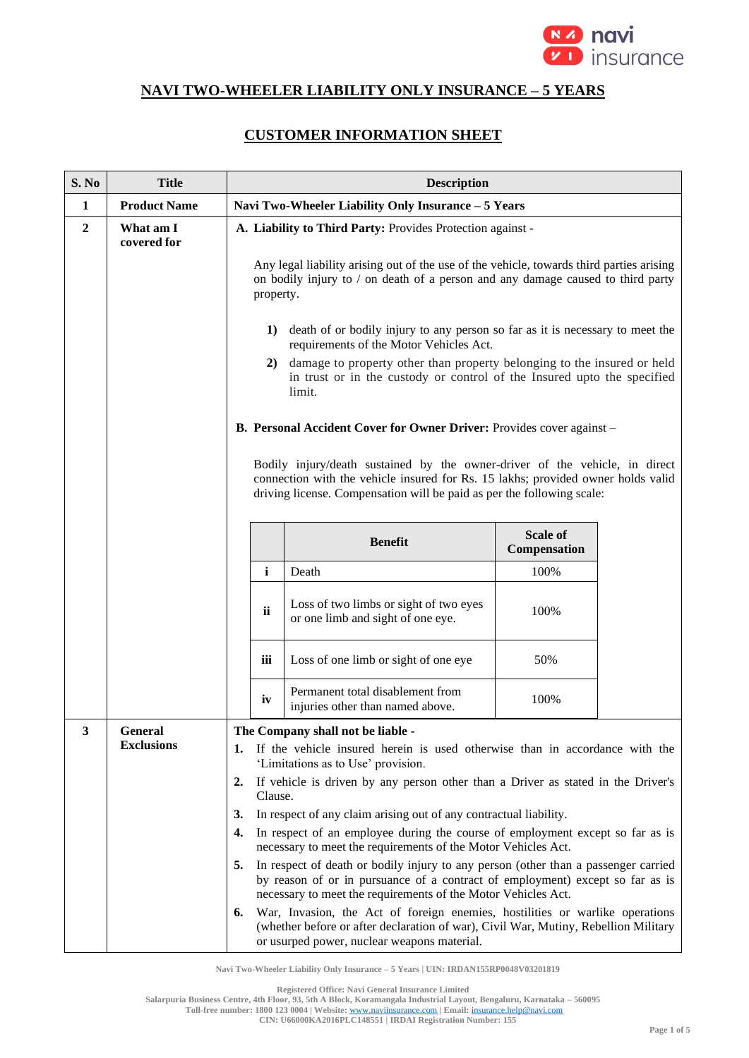

## **NAVI TWO-WHEELER LIABILITY ONLY INSURANCE – 5 YEARS**

## **CUSTOMER INFORMATION SHEET**

| S. No          | <b>Title</b>             | <b>Description</b>                                                                                                                                                                                                                         |                                                                                                                                                                                                                    |                                 |  |
|----------------|--------------------------|--------------------------------------------------------------------------------------------------------------------------------------------------------------------------------------------------------------------------------------------|--------------------------------------------------------------------------------------------------------------------------------------------------------------------------------------------------------------------|---------------------------------|--|
| 1              | <b>Product Name</b>      | Navi Two-Wheeler Liability Only Insurance - 5 Years                                                                                                                                                                                        |                                                                                                                                                                                                                    |                                 |  |
| $\overline{2}$ | What am I<br>covered for | A. Liability to Third Party: Provides Protection against -                                                                                                                                                                                 |                                                                                                                                                                                                                    |                                 |  |
|                |                          | Any legal liability arising out of the use of the vehicle, towards third parties arising<br>on bodily injury to / on death of a person and any damage caused to third party<br>property.                                                   |                                                                                                                                                                                                                    |                                 |  |
|                |                          | 1) death of or bodily injury to any person so far as it is necessary to meet the<br>requirements of the Motor Vehicles Act.                                                                                                                |                                                                                                                                                                                                                    |                                 |  |
|                |                          | damage to property other than property belonging to the insured or held<br>2)<br>in trust or in the custody or control of the Insured upto the specified<br>limit.                                                                         |                                                                                                                                                                                                                    |                                 |  |
|                |                          | B. Personal Accident Cover for Owner Driver: Provides cover against -                                                                                                                                                                      |                                                                                                                                                                                                                    |                                 |  |
|                |                          | Bodily injury/death sustained by the owner-driver of the vehicle, in direct<br>connection with the vehicle insured for Rs. 15 lakhs; provided owner holds valid<br>driving license. Compensation will be paid as per the following scale:  |                                                                                                                                                                                                                    |                                 |  |
|                |                          |                                                                                                                                                                                                                                            | <b>Benefit</b>                                                                                                                                                                                                     | <b>Scale of</b><br>Compensation |  |
|                |                          | $\mathbf{i}$                                                                                                                                                                                                                               | Death                                                                                                                                                                                                              | 100%                            |  |
|                |                          | ii                                                                                                                                                                                                                                         | Loss of two limbs or sight of two eyes<br>or one limb and sight of one eye.                                                                                                                                        | 100%                            |  |
|                |                          | iii                                                                                                                                                                                                                                        | Loss of one limb or sight of one eye                                                                                                                                                                               | 50%                             |  |
|                |                          | iv                                                                                                                                                                                                                                         | Permanent total disablement from<br>injuries other than named above.                                                                                                                                               | 100%                            |  |
| 3              | <b>General</b>           |                                                                                                                                                                                                                                            | The Company shall not be liable -                                                                                                                                                                                  |                                 |  |
|                | <b>Exclusions</b>        | 1.                                                                                                                                                                                                                                         | If the vehicle insured herein is used otherwise than in accordance with the<br>'Limitations as to Use' provision.                                                                                                  |                                 |  |
|                |                          | 2.<br>Clause.                                                                                                                                                                                                                              | If vehicle is driven by any person other than a Driver as stated in the Driver's                                                                                                                                   |                                 |  |
|                |                          | 3.                                                                                                                                                                                                                                         | In respect of any claim arising out of any contractual liability.                                                                                                                                                  |                                 |  |
|                |                          | 4.                                                                                                                                                                                                                                         | In respect of an employee during the course of employment except so far as is<br>necessary to meet the requirements of the Motor Vehicles Act.                                                                     |                                 |  |
|                |                          | In respect of death or bodily injury to any person (other than a passenger carried<br>5.<br>by reason of or in pursuance of a contract of employment) except so far as is<br>necessary to meet the requirements of the Motor Vehicles Act. |                                                                                                                                                                                                                    |                                 |  |
|                |                          | 6.                                                                                                                                                                                                                                         | War, Invasion, the Act of foreign enemies, hostilities or warlike operations<br>(whether before or after declaration of war), Civil War, Mutiny, Rebellion Military<br>or usurped power, nuclear weapons material. |                                 |  |

**Navi Two-Wheeler Liability Only Insurance – 5 Years | UIN: IRDAN155RP0048V03201819**

**Registered Office: Navi General Insurance Limited**

**Salarpuria Business Centre, 4th Floor, 93, 5th A Block, Koramangala Industrial Layout, Bengaluru, Karnataka – 560095**

**Toll-free number: 1800 123 0004 | Website:** [www.naviinsurance.com](http://www.naviinsurance.com/) **| Email:** [insurance.help@navi.com](mailto:insurance.help@navi.com) **CIN: U66000KA2016PLC148551 | IRDAI Registration Number: 155**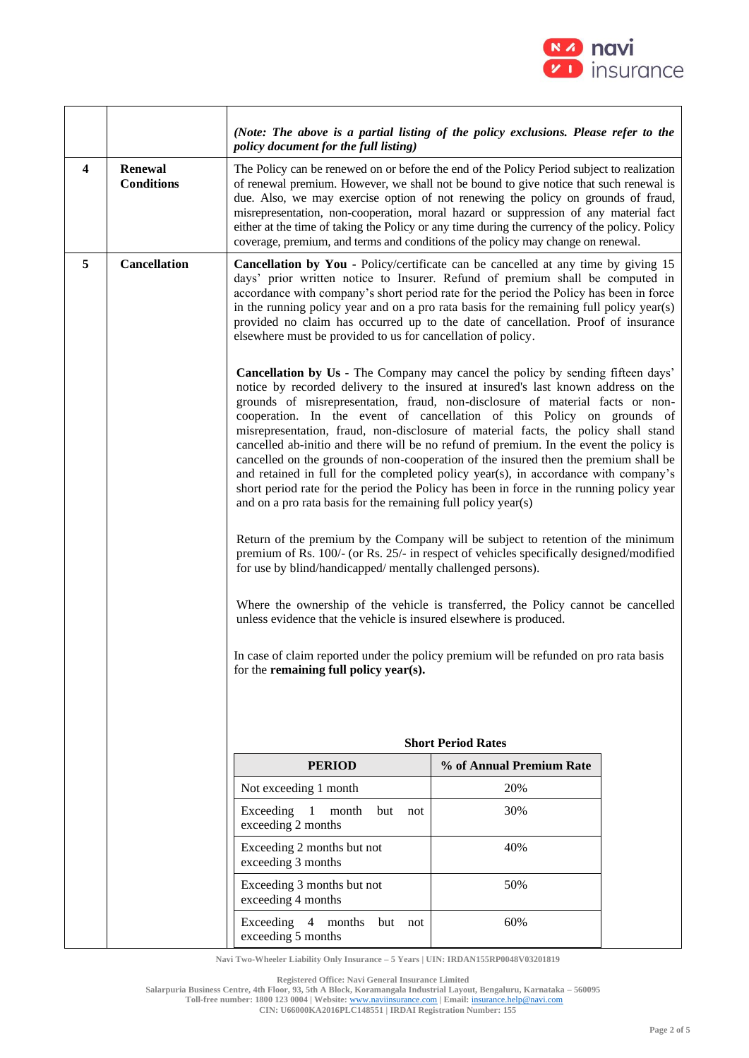

|                         |                              | (Note: The above is a partial listing of the policy exclusions. Please refer to the<br>policy document for the full listing)                                                                                                                                                                                                                                                                                                                                                                                                                                                                                                                                                                                                                                                                                                                                                                                                                                                                                                               |                          |  |
|-------------------------|------------------------------|--------------------------------------------------------------------------------------------------------------------------------------------------------------------------------------------------------------------------------------------------------------------------------------------------------------------------------------------------------------------------------------------------------------------------------------------------------------------------------------------------------------------------------------------------------------------------------------------------------------------------------------------------------------------------------------------------------------------------------------------------------------------------------------------------------------------------------------------------------------------------------------------------------------------------------------------------------------------------------------------------------------------------------------------|--------------------------|--|
| $\overline{\mathbf{4}}$ | Renewal<br><b>Conditions</b> | The Policy can be renewed on or before the end of the Policy Period subject to realization<br>of renewal premium. However, we shall not be bound to give notice that such renewal is<br>due. Also, we may exercise option of not renewing the policy on grounds of fraud,<br>misrepresentation, non-cooperation, moral hazard or suppression of any material fact<br>either at the time of taking the Policy or any time during the currency of the policy. Policy<br>coverage, premium, and terms and conditions of the policy may change on renewal.                                                                                                                                                                                                                                                                                                                                                                                                                                                                                     |                          |  |
| 5                       | <b>Cancellation</b>          | Cancellation by You - Policy/certificate can be cancelled at any time by giving 15<br>days' prior written notice to Insurer. Refund of premium shall be computed in<br>accordance with company's short period rate for the period the Policy has been in force<br>in the running policy year and on a pro rata basis for the remaining full policy year(s)<br>provided no claim has occurred up to the date of cancellation. Proof of insurance<br>elsewhere must be provided to us for cancellation of policy.                                                                                                                                                                                                                                                                                                                                                                                                                                                                                                                            |                          |  |
|                         |                              | Cancellation by Us - The Company may cancel the policy by sending fifteen days'<br>notice by recorded delivery to the insured at insured's last known address on the<br>grounds of misrepresentation, fraud, non-disclosure of material facts or non-<br>cooperation. In the event of cancellation of this Policy on grounds of<br>misrepresentation, fraud, non-disclosure of material facts, the policy shall stand<br>cancelled ab-initio and there will be no refund of premium. In the event the policy is<br>cancelled on the grounds of non-cooperation of the insured then the premium shall be<br>and retained in full for the completed policy year(s), in accordance with company's<br>short period rate for the period the Policy has been in force in the running policy year<br>and on a pro rata basis for the remaining full policy year(s)<br>Return of the premium by the Company will be subject to retention of the minimum<br>premium of Rs. 100/- (or Rs. 25/- in respect of vehicles specifically designed/modified |                          |  |
|                         |                              | for use by blind/handicapped/mentally challenged persons).                                                                                                                                                                                                                                                                                                                                                                                                                                                                                                                                                                                                                                                                                                                                                                                                                                                                                                                                                                                 |                          |  |
|                         |                              | Where the ownership of the vehicle is transferred, the Policy cannot be cancelled<br>unless evidence that the vehicle is insured elsewhere is produced.                                                                                                                                                                                                                                                                                                                                                                                                                                                                                                                                                                                                                                                                                                                                                                                                                                                                                    |                          |  |
|                         |                              | In case of claim reported under the policy premium will be refunded on pro rata basis<br>for the remaining full policy year(s).                                                                                                                                                                                                                                                                                                                                                                                                                                                                                                                                                                                                                                                                                                                                                                                                                                                                                                            |                          |  |
|                         |                              | <b>Short Period Rates</b>                                                                                                                                                                                                                                                                                                                                                                                                                                                                                                                                                                                                                                                                                                                                                                                                                                                                                                                                                                                                                  |                          |  |
|                         |                              | <b>PERIOD</b>                                                                                                                                                                                                                                                                                                                                                                                                                                                                                                                                                                                                                                                                                                                                                                                                                                                                                                                                                                                                                              | % of Annual Premium Rate |  |
|                         |                              | Not exceeding 1 month                                                                                                                                                                                                                                                                                                                                                                                                                                                                                                                                                                                                                                                                                                                                                                                                                                                                                                                                                                                                                      | 20%                      |  |
|                         |                              | Exceeding<br>1<br>month<br>but<br>not<br>exceeding 2 months                                                                                                                                                                                                                                                                                                                                                                                                                                                                                                                                                                                                                                                                                                                                                                                                                                                                                                                                                                                | 30%                      |  |
|                         |                              | Exceeding 2 months but not<br>exceeding 3 months                                                                                                                                                                                                                                                                                                                                                                                                                                                                                                                                                                                                                                                                                                                                                                                                                                                                                                                                                                                           | 40%                      |  |
|                         |                              | Exceeding 3 months but not<br>exceeding 4 months                                                                                                                                                                                                                                                                                                                                                                                                                                                                                                                                                                                                                                                                                                                                                                                                                                                                                                                                                                                           | 50%                      |  |
|                         |                              | Exceeding 4 months<br>but<br>not<br>exceeding 5 months                                                                                                                                                                                                                                                                                                                                                                                                                                                                                                                                                                                                                                                                                                                                                                                                                                                                                                                                                                                     | 60%                      |  |

**Navi Two-Wheeler Liability Only Insurance – 5 Years | UIN: IRDAN155RP0048V03201819**

**Registered Office: Navi General Insurance Limited**

**Salarpuria Business Centre, 4th Floor, 93, 5th A Block, Koramangala Industrial Layout, Bengaluru, Karnataka – 560095 Toll-free number: 1800 123 0004 | Website:** [www.naviinsurance.com](http://www.naviinsurance.com/) **| Email:** [insurance.help@navi.com](mailto:insurance.help@navi.com)

**CIN: U66000KA2016PLC148551 | IRDAI Registration Number: 155**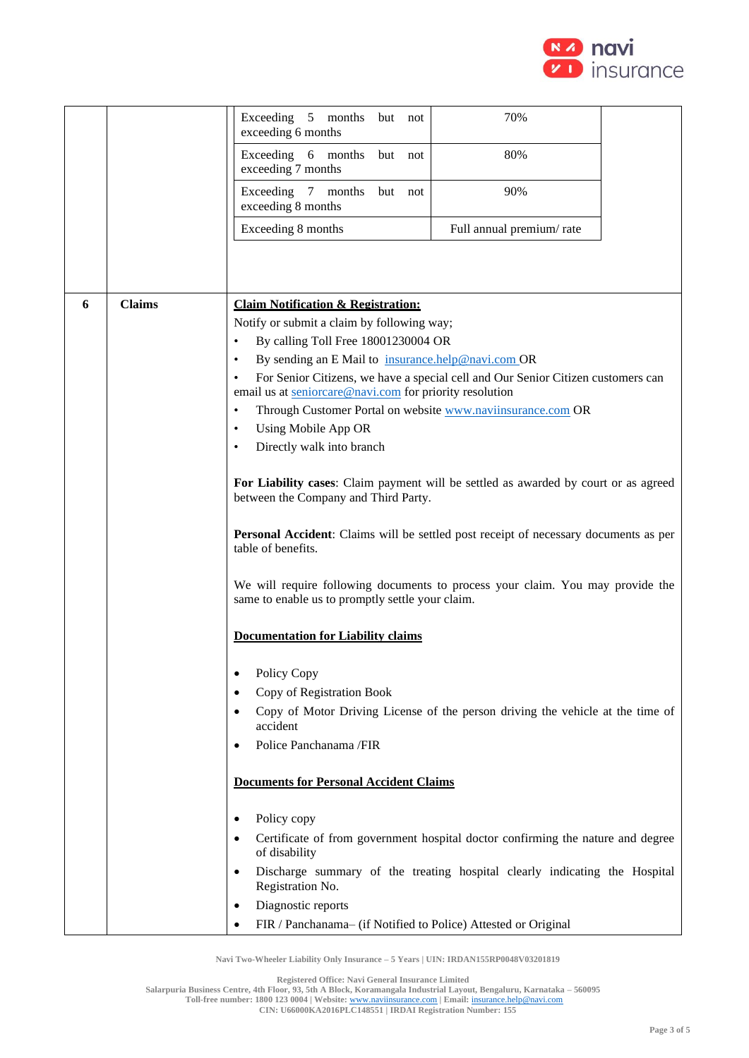

|   |               | Exceeding 5 months<br>but not<br>exceeding 6 months                                                                                | 70%                                                                                  |  |
|---|---------------|------------------------------------------------------------------------------------------------------------------------------------|--------------------------------------------------------------------------------------|--|
|   |               | Exceeding 6 months<br>but not<br>exceeding 7 months                                                                                | 80%                                                                                  |  |
|   |               | Exceeding 7 months<br>but not<br>exceeding 8 months                                                                                | 90%                                                                                  |  |
|   |               | Exceeding 8 months                                                                                                                 | Full annual premium/rate                                                             |  |
|   |               |                                                                                                                                    |                                                                                      |  |
|   |               |                                                                                                                                    |                                                                                      |  |
| 6 | <b>Claims</b> | <b>Claim Notification &amp; Registration:</b>                                                                                      |                                                                                      |  |
|   |               | Notify or submit a claim by following way;                                                                                         |                                                                                      |  |
|   |               | By calling Toll Free 18001230004 OR<br>$\bullet$                                                                                   |                                                                                      |  |
|   |               | By sending an E Mail to insurance.help@navi.com OR<br>٠                                                                            |                                                                                      |  |
|   |               | $\bullet$<br>email us at seniorcare@navi.com for priority resolution                                                               | For Senior Citizens, we have a special cell and Our Senior Citizen customers can     |  |
|   |               | Through Customer Portal on website www.naviinsurance.com OR<br>$\bullet$                                                           |                                                                                      |  |
|   |               | <b>Using Mobile App OR</b><br>٠                                                                                                    |                                                                                      |  |
|   |               | Directly walk into branch                                                                                                          |                                                                                      |  |
|   |               | between the Company and Third Party.                                                                                               | For Liability cases: Claim payment will be settled as awarded by court or as agreed  |  |
|   |               | table of benefits.                                                                                                                 | Personal Accident: Claims will be settled post receipt of necessary documents as per |  |
|   |               | We will require following documents to process your claim. You may provide the<br>same to enable us to promptly settle your claim. |                                                                                      |  |
|   |               | <b>Documentation for Liability claims</b>                                                                                          |                                                                                      |  |
|   |               | Policy Copy<br>٠                                                                                                                   |                                                                                      |  |
|   |               | Copy of Registration Book                                                                                                          |                                                                                      |  |
|   |               | accident                                                                                                                           | Copy of Motor Driving License of the person driving the vehicle at the time of       |  |
|   |               | Police Panchanama /FIR<br>٠                                                                                                        |                                                                                      |  |
|   |               | <b>Documents for Personal Accident Claims</b>                                                                                      |                                                                                      |  |
|   |               | Policy copy<br>٠                                                                                                                   |                                                                                      |  |
|   |               | of disability                                                                                                                      | Certificate of from government hospital doctor confirming the nature and degree      |  |
|   |               |                                                                                                                                    | Discharge summary of the treating hospital clearly indicating the Hospital           |  |
|   |               | Registration No.                                                                                                                   |                                                                                      |  |
|   |               | Diagnostic reports<br>٠                                                                                                            |                                                                                      |  |
|   |               | FIR / Panchanama- (if Notified to Police) Attested or Original                                                                     |                                                                                      |  |

**Navi Two-Wheeler Liability Only Insurance – 5 Years | UIN: IRDAN155RP0048V03201819**

**Registered Office: Navi General Insurance Limited**

**Salarpuria Business Centre, 4th Floor, 93, 5th A Block, Koramangala Industrial Layout, Bengaluru, Karnataka – 560095 Toll-free number: 1800 123 0004 | Website:** [www.naviinsurance.com](http://www.naviinsurance.com/) **| Email:** [insurance.help@navi.com](mailto:insurance.help@navi.com)

**CIN: U66000KA2016PLC148551 | IRDAI Registration Number: 155**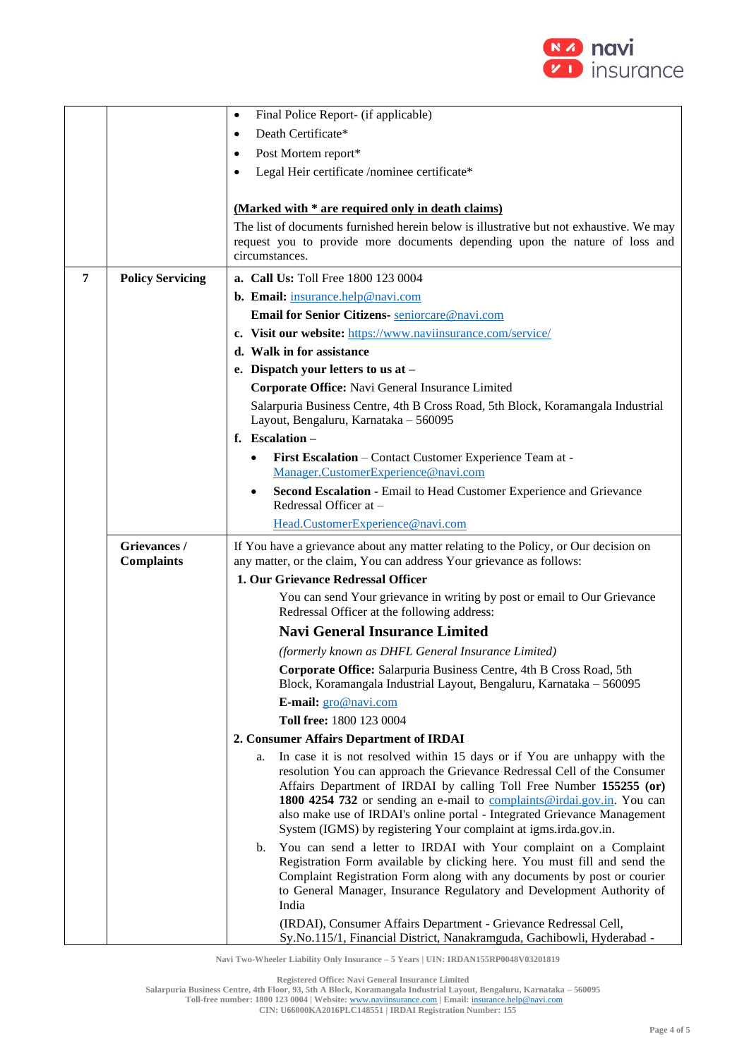

|   |                                   | Final Police Report- (if applicable)<br>$\bullet$                                                                                                           |  |
|---|-----------------------------------|-------------------------------------------------------------------------------------------------------------------------------------------------------------|--|
|   |                                   | Death Certificate*                                                                                                                                          |  |
|   |                                   | Post Mortem report*<br>٠                                                                                                                                    |  |
|   |                                   | Legal Heir certificate /nominee certificate*                                                                                                                |  |
|   |                                   |                                                                                                                                                             |  |
|   |                                   | (Marked with * are required only in death claims)                                                                                                           |  |
|   |                                   | The list of documents furnished herein below is illustrative but not exhaustive. We may                                                                     |  |
|   |                                   | request you to provide more documents depending upon the nature of loss and                                                                                 |  |
|   |                                   | circumstances.                                                                                                                                              |  |
| 7 | <b>Policy Servicing</b>           | <b>a. Call Us: Toll Free 1800 123 0004</b>                                                                                                                  |  |
|   |                                   | <b>b.</b> Email: insurance.help@navi.com                                                                                                                    |  |
|   |                                   | Email for Senior Citizens- seniorcare@navi.com                                                                                                              |  |
|   |                                   | c. Visit our website: https://www.naviinsurance.com/service/                                                                                                |  |
|   |                                   | d. Walk in for assistance                                                                                                                                   |  |
|   |                                   | e. Dispatch your letters to us at -                                                                                                                         |  |
|   |                                   | Corporate Office: Navi General Insurance Limited                                                                                                            |  |
|   |                                   | Salarpuria Business Centre, 4th B Cross Road, 5th Block, Koramangala Industrial                                                                             |  |
|   |                                   | Layout, Bengaluru, Karnataka - 560095                                                                                                                       |  |
|   |                                   | f. Escalation-                                                                                                                                              |  |
|   |                                   | First Escalation - Contact Customer Experience Team at -                                                                                                    |  |
|   |                                   | Manager.CustomerExperience@navi.com                                                                                                                         |  |
|   |                                   | Second Escalation - Email to Head Customer Experience and Grievance<br>Redressal Officer at -                                                               |  |
|   |                                   | Head.CustomerExperience@navi.com                                                                                                                            |  |
|   |                                   |                                                                                                                                                             |  |
|   | Grievances /<br><b>Complaints</b> | If You have a grievance about any matter relating to the Policy, or Our decision on<br>any matter, or the claim, You can address Your grievance as follows: |  |
|   |                                   | 1. Our Grievance Redressal Officer                                                                                                                          |  |
|   |                                   | You can send Your grievance in writing by post or email to Our Grievance                                                                                    |  |
|   |                                   | Redressal Officer at the following address:                                                                                                                 |  |
|   |                                   | <b>Navi General Insurance Limited</b>                                                                                                                       |  |
|   |                                   | (formerly known as DHFL General Insurance Limited)                                                                                                          |  |
|   |                                   | Corporate Office: Salarpuria Business Centre, 4th B Cross Road, 5th<br>Block, Koramangala Industrial Layout, Bengaluru, Karnataka - 560095                  |  |
|   |                                   | E-mail: gro@navi.com                                                                                                                                        |  |
|   |                                   | Toll free: 1800 123 0004                                                                                                                                    |  |
|   |                                   | 2. Consumer Affairs Department of IRDAI                                                                                                                     |  |
|   |                                   | In case it is not resolved within 15 days or if You are unhappy with the<br>a.                                                                              |  |
|   |                                   | resolution You can approach the Grievance Redressal Cell of the Consumer                                                                                    |  |
|   |                                   | Affairs Department of IRDAI by calling Toll Free Number 155255 (or)                                                                                         |  |
|   |                                   | 1800 4254 732 or sending an e-mail to complaints@irdai.gov.in. You can<br>also make use of IRDAI's online portal - Integrated Grievance Management          |  |
|   |                                   | System (IGMS) by registering Your complaint at igms.irda.gov.in.                                                                                            |  |
|   |                                   | You can send a letter to IRDAI with Your complaint on a Complaint<br>b.                                                                                     |  |
|   |                                   | Registration Form available by clicking here. You must fill and send the<br>Complaint Registration Form along with any documents by post or courier         |  |
|   |                                   | to General Manager, Insurance Regulatory and Development Authority of                                                                                       |  |
|   |                                   | India                                                                                                                                                       |  |
|   |                                   | (IRDAI), Consumer Affairs Department - Grievance Redressal Cell,<br>Sy.No.115/1, Financial District, Nanakramguda, Gachibowli, Hyderabad -                  |  |

**Navi Two-Wheeler Liability Only Insurance – 5 Years | UIN: IRDAN155RP0048V03201819**

**Registered Office: Navi General Insurance Limited**

**Toll-free number: 1800 123 0004 | Website:** [www.naviinsurance.com](http://www.naviinsurance.com/) **| Email:** [insurance.help@navi.com](mailto:insurance.help@navi.com) **CIN: U66000KA2016PLC148551 | IRDAI Registration Number: 155**

**Salarpuria Business Centre, 4th Floor, 93, 5th A Block, Koramangala Industrial Layout, Bengaluru, Karnataka – 560095**